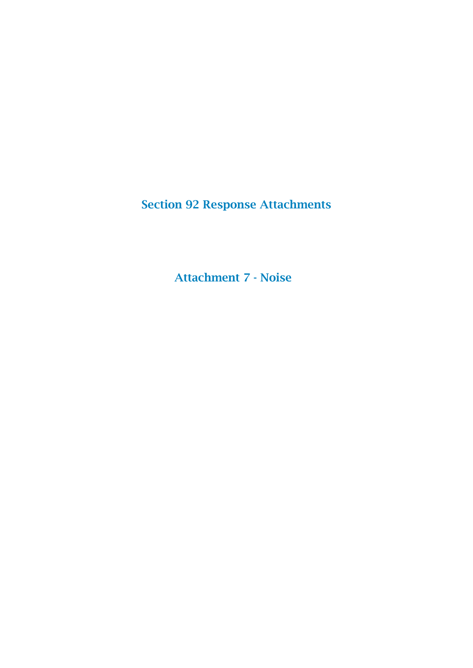Section 92 Response Attachments

Attachment 7 - Noise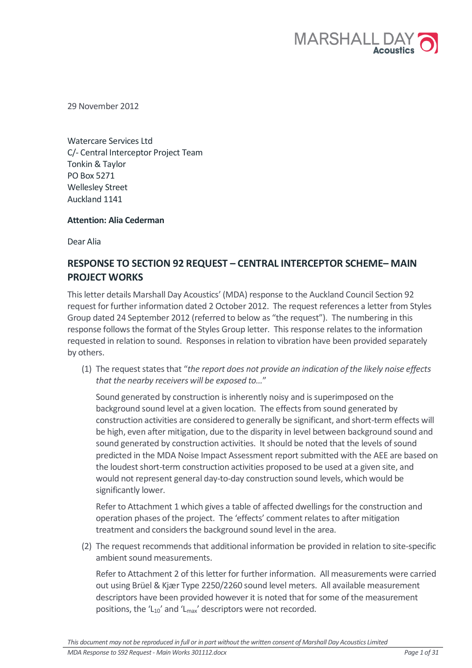

29 November 2012

Watercare Services Ltd C/- Central Interceptor Project Team Tonkin & Taylor PO Box 5271 Wellesley Street Auckland 1141

# Attention: Alia Cederman

Dear Alia

# RESPONSE TO SECTION 92 REQUEST – CENTRAL INTERCEPTOR SCHEME– MAIN PROJECT WORKS

This letter details Marshall Day Acoustics' (MDA) response to the Auckland Council Section 92 request for further information dated 2 October 2012. The request references a letter from Styles Group dated 24 September 2012 (referred to below as "the request"). The numbering in this response follows the format of the Styles Group letter. This response relates to the information requested in relation to sound. Responses in relation to vibration have been provided separately by others.

(1) The request states that "the report does not provide an indication of the likely noise effects that the nearby receivers will be exposed to…"

Sound generated by construction is inherently noisy and is superimposed on the background sound level at a given location. The effects from sound generated by construction activities are considered to generally be significant, and short-term effects will be high, even after mitigation, due to the disparity in level between background sound and sound generated by construction activities. It should be noted that the levels of sound predicted in the MDA Noise Impact Assessment report submitted with the AEE are based on the loudest short-term construction activities proposed to be used at a given site, and would not represent general day-to-day construction sound levels, which would be significantly lower.

Refer to Attachment 1 which gives a table of affected dwellings for the construction and operation phases of the project. The 'effects' comment relates to after mitigation treatment and considers the background sound level in the area.

(2) The request recommends that additional information be provided in relation to site-specific ambient sound measurements.

Refer to Attachment 2 of this letter for further information. All measurements were carried out using Brüel & Kjær Type 2250/2260 sound level meters. All available measurement descriptors have been provided however it is noted that for some of the measurement positions, the ' $L_{10}$ ' and ' $L_{max}$ ' descriptors were not recorded.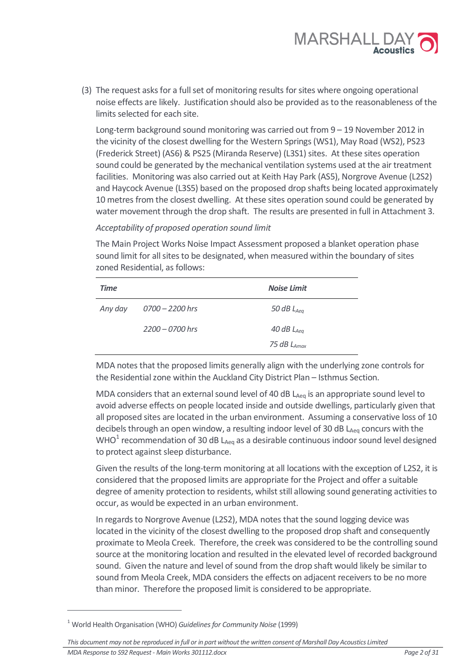

(3) The request asks for a full set of monitoring results for sites where ongoing operational noise effects are likely. Justification should also be provided as to the reasonableness of the limits selected for each site.

Long-term background sound monitoring was carried out from 9 – 19 November 2012 in the vicinity of the closest dwelling for the Western Springs (WS1), May Road (WS2), PS23 (Frederick Street) (AS6) & PS25 (Miranda Reserve) (L3S1) sites. At these sites operation sound could be generated by the mechanical ventilation systems used at the air treatment facilities. Monitoring was also carried out at Keith Hay Park (AS5), Norgrove Avenue (L2S2) and Haycock Avenue (L3S5) based on the proposed drop shafts being located approximately 10 metres from the closest dwelling. At these sites operation sound could be generated by water movement through the drop shaft. The results are presented in full in Attachment 3.

## Acceptability of proposed operation sound limit

The Main Project Works Noise Impact Assessment proposed a blanket operation phase sound limit for all sites to be designated, when measured within the boundary of sites zoned Residential, as follows:

| <b>Time</b> |                   | <b>Noise Limit</b> |
|-------------|-------------------|--------------------|
| Any day     | 0700 - 2200 hrs   | 50 dB $L_{Aea}$    |
|             | $2200 - 0700$ hrs | 40 dB $L_{Aea}$    |
|             |                   | 75 dB $L_{Amax}$   |

MDA notes that the proposed limits generally align with the underlying zone controls for the Residential zone within the Auckland City District Plan – Isthmus Section.

MDA considers that an external sound level of 40 dB  $L_{Aeq}$  is an appropriate sound level to avoid adverse effects on people located inside and outside dwellings, particularly given that all proposed sites are located in the urban environment. Assuming a conservative loss of 10 decibels through an open window, a resulting indoor level of 30 dB  $L_{Aeq}$  concurs with the WHO<sup>1</sup> recommendation of 30 dB L<sub>Aeq</sub> as a desirable continuous indoor sound level designed to protect against sleep disturbance.

Given the results of the long-term monitoring at all locations with the exception of L2S2, it is considered that the proposed limits are appropriate for the Project and offer a suitable degree of amenity protection to residents, whilst still allowing sound generating activities to occur, as would be expected in an urban environment.

In regards to Norgrove Avenue (L2S2), MDA notes that the sound logging device was located in the vicinity of the closest dwelling to the proposed drop shaft and consequently proximate to Meola Creek. Therefore, the creek was considered to be the controlling sound source at the monitoring location and resulted in the elevated level of recorded background sound. Given the nature and level of sound from the drop shaft would likely be similar to sound from Meola Creek, MDA considers the effects on adjacent receivers to be no more than minor. Therefore the proposed limit is considered to be appropriate.

 $\overline{a}$ 

<sup>&</sup>lt;sup>1</sup> World Health Organisation (WHO) *Guidelines for Community Noise* (1999)

This document may not be reproduced in full or in part without the written consent of Marshall Day Acoustics Limited MDA Response to S92 Request - Main Works 301112.docx <br>
Page 2 of 31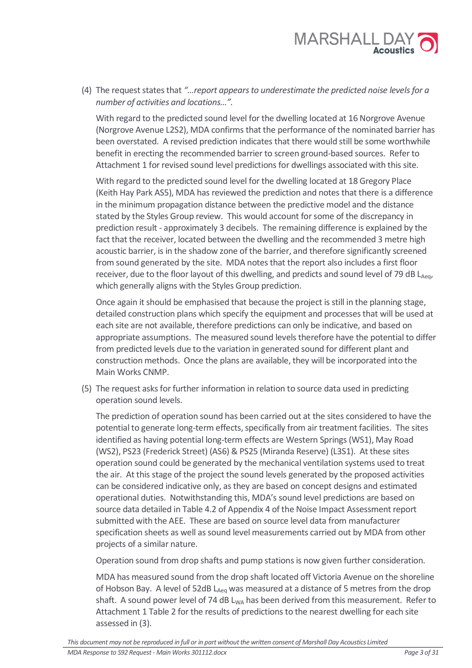

(4) The request states that "…report appears to underestimate the predicted noise levels for a number of activities and locations…".

With regard to the predicted sound level for the dwelling located at 16 Norgrove Avenue (Norgrove Avenue L2S2), MDA confirms that the performance of the nominated barrier has been overstated. A revised prediction indicates that there would still be some worthwhile benefit in erecting the recommended barrier to screen ground-based sources. Refer to Attachment 1 for revised sound level predictions for dwellings associated with this site.

With regard to the predicted sound level for the dwelling located at 18 Gregory Place (Keith Hay Park AS5), MDA has reviewed the prediction and notes that there is a difference in the minimum propagation distance between the predictive model and the distance stated by the Styles Group review. This would account for some of the discrepancy in prediction result - approximately 3 decibels. The remaining difference is explained by the fact that the receiver, located between the dwelling and the recommended 3 metre high acoustic barrier, is in the shadow zone of the barrier, and therefore significantly screened from sound generated by the site. MDA notes that the report also includes a first floor receiver, due to the floor layout of this dwelling, and predicts and sound level of 79 dB LAeg, which generally aligns with the Styles Group prediction.

Once again it should be emphasised that because the project is still in the planning stage, detailed construction plans which specify the equipment and processes that will be used at each site are not available, therefore predictions can only be indicative, and based on appropriate assumptions. The measured sound levels therefore have the potential to differ from predicted levels due to the variation in generated sound for different plant and construction methods. Once the plans are available, they will be incorporated into the Main Works CNMP.

(5) The request asks for further information in relation to source data used in predicting operation sound levels.

The prediction of operation sound has been carried out at the sites considered to have the potential to generate long-term effects, specifically from air treatment facilities. The sites identified as having potential long-term effects are Western Springs (WS1), May Road (WS2), PS23 (Frederick Street) (AS6) & PS25 (Miranda Reserve) (L3S1). At these sites operation sound could be generated by the mechanical ventilation systems used to treat the air. At this stage of the project the sound levels generated by the proposed activities can be considered indicative only, as they are based on concept designs and estimated operational duties. Notwithstanding this, MDA's sound level predictions are based on source data detailed in Table 4.2 of Appendix 4 of the Noise Impact Assessment report submitted with the AEE. These are based on source level data from manufacturer specification sheets as well as sound level measurements carried out by MDA from other projects of a similar nature.

Operation sound from drop shafts and pump stations is now given further consideration.

MDA has measured sound from the drop shaft located off Victoria Avenue on the shoreline of Hobson Bay. A level of 52dB  $L_{Aeq}$  was measured at a distance of 5 metres from the drop shaft. A sound power level of 74 dB  $L_{WA}$  has been derived from this measurement. Refer to Attachment 1 Table 2 for the results of predictions to the nearest dwelling for each site assessed in (3).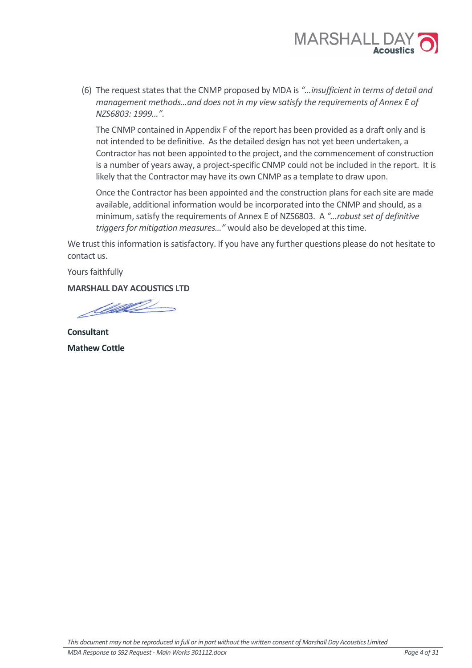

(6) The request states that the CNMP proposed by MDA is "…insufficient in terms of detail and management methods…and does not in my view satisfy the requirements of Annex E of NZS6803: 1999…".

The CNMP contained in Appendix F of the report has been provided as a draft only and is not intended to be definitive. As the detailed design has not yet been undertaken, a Contractor has not been appointed to the project, and the commencement of construction is a number of years away, a project-specific CNMP could not be included in the report. It is likely that the Contractor may have its own CNMP as a template to draw upon.

Once the Contractor has been appointed and the construction plans for each site are made available, additional information would be incorporated into the CNMP and should, as a minimum, satisfy the requirements of Annex E of NZS6803. A "…robust set of definitive triggers for mitigation measures…" would also be developed at this time.

We trust this information is satisfactory. If you have any further questions please do not hesitate to contact us.

Yours faithfully

MARSHALL DAY ACOUSTICS LTD

<u>Salle Constant Constant Constant Constant Constant Constant Constant Constant Constant Constant Constant Constant Constant Constant Constant Constant Constant Constant Constant Constant Constant Constant Constant Constant</u>

**Consultant** Mathew Cottle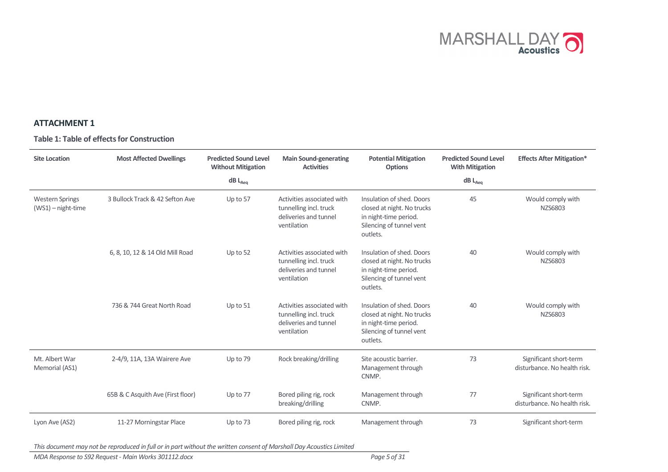

# ATTACHMENT 1

Table 1: Table of effects for Construction

| <b>Site Location</b>                         | <b>Most Affected Dwellings</b>    | <b>Predicted Sound Level</b><br><b>Without Mitigation</b> | <b>Main Sound-generating</b><br><b>Activities</b>                                            | <b>Potential Mitigation</b><br><b>Options</b>                                                                            |                | <b>Effects After Mitigation*</b>                       |
|----------------------------------------------|-----------------------------------|-----------------------------------------------------------|----------------------------------------------------------------------------------------------|--------------------------------------------------------------------------------------------------------------------------|----------------|--------------------------------------------------------|
|                                              |                                   | $dB$ $L_{Aeq}$                                            |                                                                                              |                                                                                                                          | $dB$ $L_{Aeq}$ |                                                        |
| <b>Western Springs</b><br>(WS1) - night-time | 3 Bullock Track & 42 Sefton Ave   | Up to 57                                                  | Activities associated with<br>tunnelling incl. truck<br>deliveries and tunnel<br>ventilation | Insulation of shed. Doors<br>closed at night. No trucks<br>in night-time period.<br>Silencing of tunnel vent<br>outlets. | 45             | Would comply with<br>NZS6803                           |
|                                              | 6, 8, 10, 12 & 14 Old Mill Road   | Up to $52$                                                | Activities associated with<br>tunnelling incl. truck<br>deliveries and tunnel<br>ventilation | Insulation of shed. Doors<br>closed at night. No trucks<br>in night-time period.<br>Silencing of tunnel vent<br>outlets. | 40             | Would comply with<br>NZS6803                           |
|                                              | 736 & 744 Great North Road        | Up to 51                                                  | Activities associated with<br>tunnelling incl. truck<br>deliveries and tunnel<br>ventilation | Insulation of shed. Doors<br>closed at night. No trucks<br>in night-time period.<br>Silencing of tunnel vent<br>outlets. | 40             | Would comply with<br>NZS6803                           |
| Mt. Albert War<br>Memorial (AS1)             | 2-4/9, 11A, 13A Wairere Ave       | Up to 79                                                  | Rock breaking/drilling                                                                       | Site acoustic barrier.<br>Management through<br>CNMP.                                                                    | 73             | Significant short-term<br>disturbance. No health risk. |
|                                              | 65B & C Asquith Ave (First floor) | Up to 77                                                  | Bored piling rig, rock<br>breaking/drilling                                                  | Management through<br>CNMP.                                                                                              | 77             | Significant short-term<br>disturbance. No health risk. |
| Lyon Ave (AS2)                               | 11-27 Morningstar Place           | Up to 73                                                  | Bored piling rig, rock                                                                       | Management through                                                                                                       | 73             | Significant short-term                                 |

This document may not be reproduced in full or in part without the written consent of Marshall Day Acoustics Limited

MDA Response to S92 Request - Main Works 301112.docx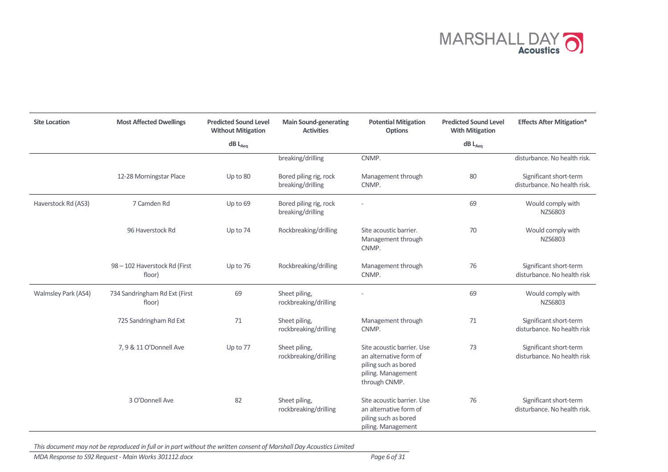

| <b>Site Location</b> | <b>Most Affected Dwellings</b>          | <b>Predicted Sound Level</b><br><b>Main Sound-generating</b><br><b>Without Mitigation</b><br><b>Activities</b> |                                             | <b>Potential Mitigation</b><br><b>Options</b>                                                                       | <b>Predicted Sound Level</b><br><b>With Mitigation</b> | <b>Effects After Mitigation*</b>                       |
|----------------------|-----------------------------------------|----------------------------------------------------------------------------------------------------------------|---------------------------------------------|---------------------------------------------------------------------------------------------------------------------|--------------------------------------------------------|--------------------------------------------------------|
|                      |                                         | $\mathsf{dB}\ \mathsf{L}_{\mathsf{Aeq}}$                                                                       |                                             |                                                                                                                     | $\mathsf{dB}\ \mathsf{L}_{\mathsf{Aeq}}$               |                                                        |
|                      |                                         |                                                                                                                | breaking/drilling                           | CNMP.                                                                                                               |                                                        | disturbance. No health risk.                           |
|                      | 12-28 Morningstar Place                 | Up to 80                                                                                                       | Bored piling rig, rock<br>breaking/drilling | Management through<br>CNMP.                                                                                         | 80                                                     | Significant short-term<br>disturbance. No health risk. |
| Haverstock Rd (AS3)  | 7 Camden Rd                             | Up to 69                                                                                                       | Bored piling rig, rock<br>breaking/drilling |                                                                                                                     | 69                                                     | Would comply with<br>NZS6803                           |
|                      | 96 Haverstock Rd                        | Up to 74                                                                                                       | Rockbreaking/drilling                       | Site acoustic barrier.<br>Management through<br>CNMP.                                                               | 70                                                     | Would comply with<br>NZS6803                           |
|                      | 98 - 102 Haverstock Rd (First<br>floor) | Up to 76                                                                                                       | Rockbreaking/drilling                       | Management through<br>CNMP.                                                                                         | 76                                                     | Significant short-term<br>disturbance. No health risk  |
| Walmsley Park (AS4)  | 734 Sandringham Rd Ext (First<br>floor) | 69                                                                                                             | Sheet piling,<br>rockbreaking/drilling      |                                                                                                                     | 69                                                     | Would comply with<br>NZS6803                           |
|                      | 725 Sandringham Rd Ext                  | 71                                                                                                             | Sheet piling,<br>rockbreaking/drilling      | Management through<br>CNMP.                                                                                         | 71                                                     | Significant short-term<br>disturbance. No health risk  |
|                      | 7, 9 & 11 O'Donnell Ave                 | Up to 77                                                                                                       | Sheet piling,<br>rockbreaking/drilling      | Site acoustic barrier. Use<br>an alternative form of<br>piling such as bored<br>piling. Management<br>through CNMP. | 73                                                     | Significant short-term<br>disturbance. No health risk  |
|                      | 3 O'Donnell Ave                         | 82                                                                                                             | Sheet piling,<br>rockbreaking/drilling      | Site acoustic barrier, Use<br>an alternative form of<br>piling such as bored<br>piling. Management                  | 76                                                     | Significant short-term<br>disturbance. No health risk. |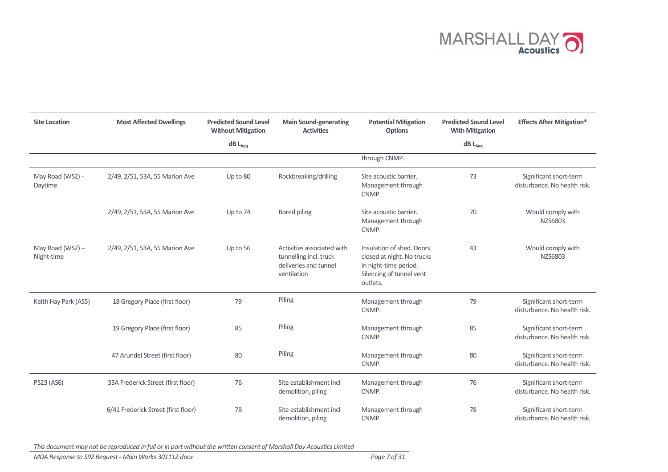

| <b>Site Location</b>           | <b>Most Affected Dwellings</b>      | <b>Predicted Sound Level</b><br><b>Without Mitigation</b> | <b>Main Sound-generating</b><br><b>Activities</b>                                            | <b>Potential Mitigation</b><br><b>Options</b>                                                                            | <b>Predicted Sound Level</b><br><b>With Mitigation</b> | <b>Effects After Mitigation*</b>                       |
|--------------------------------|-------------------------------------|-----------------------------------------------------------|----------------------------------------------------------------------------------------------|--------------------------------------------------------------------------------------------------------------------------|--------------------------------------------------------|--------------------------------------------------------|
|                                |                                     | $dB$ L <sub>Aeg</sub>                                     |                                                                                              |                                                                                                                          | $dB$ L <sub>Aeg</sub>                                  |                                                        |
|                                |                                     |                                                           |                                                                                              | through CNMP.                                                                                                            |                                                        |                                                        |
| May Road (WS2) -<br>Daytime    | 2/49, 2/51, 53A, 55 Marion Ave      | Up to 80                                                  | Rockbreaking/drilling                                                                        | Site acoustic barrier.<br>Management through<br>CNMP.                                                                    | 73                                                     | Significant short-term<br>disturbance. No health risk. |
|                                | 2/49, 2/51, 53A, 55 Marion Ave      | Up to 74                                                  | Bored piling                                                                                 | Site acoustic barrier.<br>Management through<br>CNMP.                                                                    | 70                                                     | Would comply with<br>NZS6803                           |
| May Road (WS2) -<br>Night-time | 2/49, 2/51, 53A, 55 Marion Ave      | Up to 56                                                  | Activities associated with<br>tunnelling incl. truck<br>deliveries and tunnel<br>ventilation | Insulation of shed. Doors<br>closed at night. No trucks<br>in night-time period.<br>Silencing of tunnel vent<br>outlets. | 43                                                     | Would comply with<br>NZS6803                           |
| Keith Hay Park (AS5)           | 18 Gregory Place (first floor)      | 79                                                        | Piling                                                                                       | Management through<br>CNMP.                                                                                              | 79                                                     | Significant short-term<br>disturbance. No health risk. |
|                                | 19 Gregory Place (first floor)      | 85                                                        | Piling                                                                                       | Management through<br>CNMP.                                                                                              | 85                                                     | Significant short-term<br>disturbance. No health risk. |
|                                | 47 Arundel Street (first floor)     | 80                                                        | Piling                                                                                       | Management through<br>CNMP.                                                                                              | 80                                                     | Significant short-term<br>disturbance. No health risk. |
| PS23 (AS6)                     | 33A Frederick Street (first floor)  | 76                                                        | Site establishment incl<br>demolition, piling                                                | Management through<br>CNMP.                                                                                              | 76                                                     | Significant short-term<br>disturbance. No health risk. |
|                                | 6/41 Frederick Street (first floor) | 78                                                        | Site establishment incl<br>demolition, piling                                                | Management through<br>CNMP.                                                                                              | 78                                                     | Significant short-term<br>disturbance. No health risk. |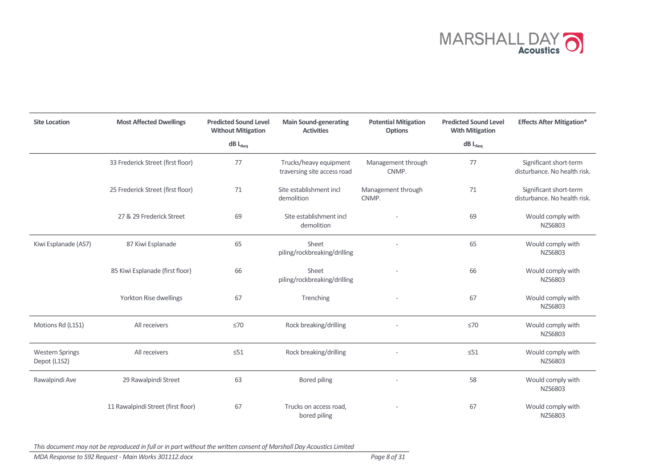

| <b>Site Location</b>                   | <b>Most Affected Dwellings</b>     | <b>Predicted Sound Level</b><br><b>Without Mitigation</b> | <b>Main Sound-generating</b><br><b>Activities</b>     | <b>Potential Mitigation</b><br><b>Options</b> | <b>Predicted Sound Level</b><br><b>With Mitigation</b> | <b>Effects After Mitigation*</b>                       |
|----------------------------------------|------------------------------------|-----------------------------------------------------------|-------------------------------------------------------|-----------------------------------------------|--------------------------------------------------------|--------------------------------------------------------|
|                                        |                                    | $dB$ $L_{Aeq}$                                            |                                                       |                                               | $dB$ $L_{Aeq}$                                         |                                                        |
|                                        | 33 Frederick Street (first floor)  | 77                                                        | Trucks/heavy equipment<br>traversing site access road | Management through<br>CNMP.                   | 77                                                     | Significant short-term<br>disturbance. No health risk. |
|                                        | 25 Frederick Street (first floor)  | 71                                                        | Site establishment incl<br>demolition                 | Management through<br>CNMP.                   | 71                                                     | Significant short-term<br>disturbance. No health risk. |
|                                        | 27 & 29 Frederick Street           | 69                                                        | Site establishment incl<br>demolition                 |                                               | 69                                                     | Would comply with<br>NZS6803                           |
| Kiwi Esplanade (AS7)                   | 87 Kiwi Esplanade                  | 65                                                        | Sheet<br>piling/rockbreaking/drilling                 |                                               | 65                                                     | Would comply with<br>NZS6803                           |
|                                        | 85 Kiwi Esplanade (first floor)    | 66                                                        | Sheet<br>piling/rockbreaking/drilling                 |                                               | 66                                                     | Would comply with<br>NZS6803                           |
|                                        | Yorkton Rise dwellings             | 67                                                        | Trenching                                             |                                               | 67                                                     | Would comply with<br>NZS6803                           |
| Motions Rd (L1S1)                      | All receivers                      | $\leq 70$                                                 | Rock breaking/drilling                                |                                               | $\leq 70$                                              | Would comply with<br>NZS6803                           |
| <b>Western Springs</b><br>Depot (L1S2) | All receivers                      | $\leq 51$                                                 | Rock breaking/drilling                                |                                               | $\leq 51$                                              | Would comply with<br>NZS6803                           |
| Rawalpindi Ave                         | 29 Rawalpindi Street               | 63                                                        | <b>Bored piling</b>                                   |                                               | 58                                                     | Would comply with<br>NZS6803                           |
|                                        | 11 Rawalpindi Street (first floor) | 67                                                        | Trucks on access road,<br>bored piling                |                                               | 67                                                     | Would comply with<br>NZS6803                           |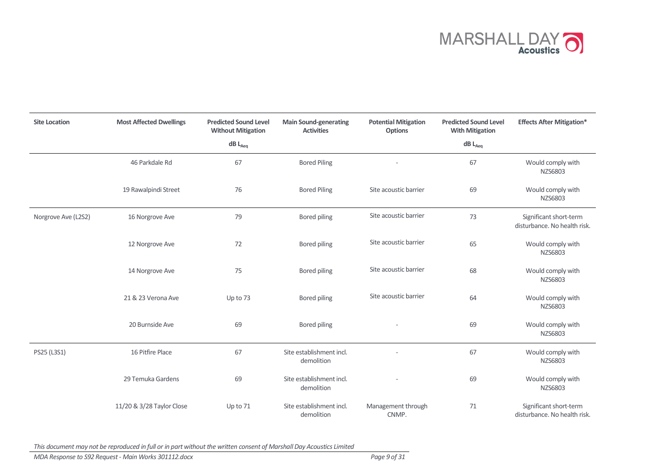

| <b>Site Location</b> | <b>Most Affected Dwellings</b> | <b>Predicted Sound Level</b><br><b>Without Mitigation</b> | <b>Main Sound-generating</b><br><b>Activities</b> | <b>Potential Mitigation</b><br><b>Options</b> | <b>Predicted Sound Level</b><br><b>With Mitigation</b> | <b>Effects After Mitigation*</b>                       |
|----------------------|--------------------------------|-----------------------------------------------------------|---------------------------------------------------|-----------------------------------------------|--------------------------------------------------------|--------------------------------------------------------|
|                      |                                | $\mathsf{dB}\ \mathsf{L}_{\mathsf{Aeq}}$                  |                                                   |                                               | $\mathsf{dB}\ \mathsf{L}_{\mathsf{Aeq}}$               |                                                        |
|                      | 46 Parkdale Rd                 | 67                                                        | <b>Bored Piling</b>                               |                                               | 67                                                     | Would comply with<br>NZS6803                           |
|                      | 19 Rawalpindi Street           | 76                                                        | <b>Bored Piling</b>                               | Site acoustic barrier                         | 69                                                     | Would comply with<br>NZS6803                           |
| Norgrove Ave (L2S2)  | 16 Norgrove Ave                | 79                                                        | <b>Bored piling</b>                               | Site acoustic barrier                         | 73                                                     | Significant short-term<br>disturbance. No health risk. |
|                      | 12 Norgrove Ave                | 72                                                        | Bored piling                                      | Site acoustic barrier                         | 65                                                     | Would comply with<br>NZS6803                           |
|                      | 14 Norgrove Ave                | 75                                                        | Bored piling                                      | Site acoustic barrier                         | 68                                                     | Would comply with<br>NZS6803                           |
|                      | 21 & 23 Verona Ave             | Up to 73                                                  | <b>Bored piling</b>                               | Site acoustic barrier                         | 64                                                     | Would comply with<br>NZS6803                           |
|                      | 20 Burnside Ave                | 69                                                        | <b>Bored piling</b>                               |                                               | 69                                                     | Would comply with<br>NZS6803                           |
| PS25 (L3S1)          | 16 Pitfire Place               | 67                                                        | Site establishment incl.<br>demolition            |                                               | 67                                                     | Would comply with<br>NZS6803                           |
|                      | 29 Temuka Gardens              | 69                                                        | Site establishment incl.<br>demolition            |                                               | 69                                                     | Would comply with<br>NZS6803                           |
|                      | 11/20 & 3/28 Taylor Close      | Up to 71                                                  | Site establishment incl.<br>demolition            | Management through<br>CNMP.                   | 71                                                     | Significant short-term<br>disturbance. No health risk. |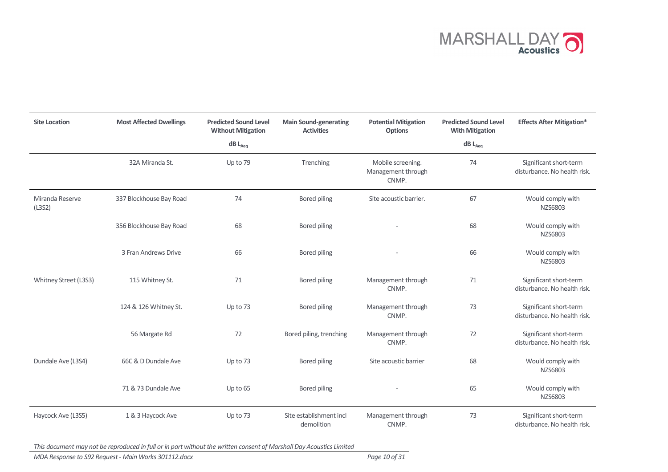

| <b>Site Location</b>      | <b>Most Affected Dwellings</b>                       | <b>Predicted Sound Level</b><br><b>Without Mitigation</b> | <b>Main Sound-generating</b><br><b>Activities</b> | <b>Potential Mitigation</b><br><b>Options</b>    | <b>Predicted Sound Level</b><br><b>With Mitigation</b> | <b>Effects After Mitigation*</b>                       |
|---------------------------|------------------------------------------------------|-----------------------------------------------------------|---------------------------------------------------|--------------------------------------------------|--------------------------------------------------------|--------------------------------------------------------|
|                           |                                                      | $dB$ $L_{Aeq}$                                            |                                                   |                                                  | $dB$ $L_{Aeq}$                                         |                                                        |
|                           | 32A Miranda St.                                      | Up to 79                                                  | Trenching                                         | Mobile screening.<br>Management through<br>CNMP. | 74                                                     | Significant short-term<br>disturbance. No health risk. |
| Miranda Reserve<br>(L3S2) | 337 Blockhouse Bay Road<br>74<br><b>Bored piling</b> |                                                           | Site acoustic barrier.                            | 67                                               | Would comply with<br>NZS6803                           |                                                        |
|                           | 356 Blockhouse Bay Road                              | 68                                                        | Bored piling                                      |                                                  | 68                                                     | Would comply with<br>NZS6803                           |
|                           | 3 Fran Andrews Drive                                 | 66                                                        | Bored piling                                      |                                                  | 66                                                     | Would comply with<br>NZS6803                           |
| Whitney Street (L3S3)     | 115 Whitney St.                                      | 71                                                        | Bored piling                                      | Management through<br>CNMP.                      | 71                                                     | Significant short-term<br>disturbance. No health risk. |
|                           | 124 & 126 Whitney St.                                | Up to 73                                                  | Bored piling                                      | Management through<br>CNMP.                      | 73                                                     | Significant short-term<br>disturbance. No health risk. |
|                           | 56 Margate Rd                                        | 72                                                        | Bored piling, trenching                           | Management through<br>CNMP.                      | 72                                                     | Significant short-term<br>disturbance. No health risk. |
| Dundale Ave (L3S4)        | 66C & D Dundale Ave                                  | Up to 73                                                  | Bored piling                                      | Site acoustic barrier                            | 68                                                     | Would comply with<br>NZS6803                           |
|                           | 71 & 73 Dundale Ave                                  | Up to 65                                                  | Bored piling                                      |                                                  | 65                                                     | Would comply with<br>NZS6803                           |
| Haycock Ave (L3S5)        | 1 & 3 Haycock Ave                                    | Up to 73                                                  | Site establishment incl<br>demolition             | Management through<br>CNMP.                      | 73                                                     | Significant short-term<br>disturbance. No health risk. |

MDA Response to S92 Request - Main Works 301112.docx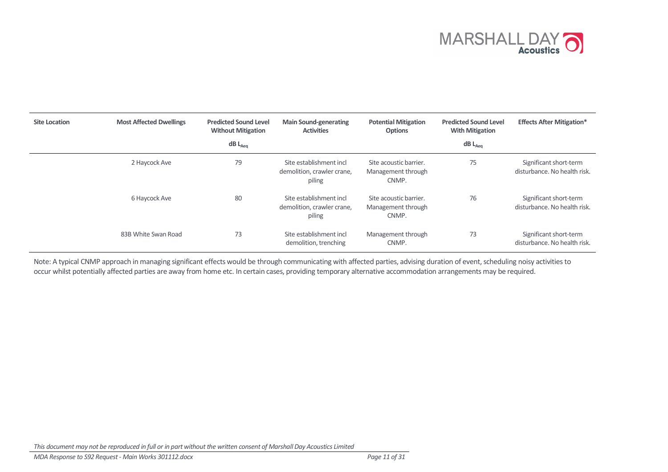

| <b>Site Location</b> | <b>Most Affected Dwellings</b> | <b>Predicted Sound Level</b><br><b>Without Mitigation</b><br>$dB$ L <sub>Aeq</sub> | <b>Main Sound-generating</b><br><b>Activities</b>               | <b>Potential Mitigation</b><br><b>Options</b>         | <b>Predicted Sound Level</b><br><b>With Mitigation</b><br>$dB$ $L_{Aeq}$ | <b>Effects After Mitigation*</b>                       |
|----------------------|--------------------------------|------------------------------------------------------------------------------------|-----------------------------------------------------------------|-------------------------------------------------------|--------------------------------------------------------------------------|--------------------------------------------------------|
|                      | 2 Haycock Ave                  | 79                                                                                 | Site establishment incl<br>demolition, crawler crane,<br>piling | Site acoustic barrier.<br>Management through<br>CNMP. | 75                                                                       | Significant short-term<br>disturbance. No health risk. |
|                      | 6 Haycock Ave                  | 80                                                                                 | Site establishment incl<br>demolition, crawler crane,<br>piling | Site acoustic barrier.<br>Management through<br>CNMP. | 76                                                                       | Significant short-term<br>disturbance. No health risk. |
|                      | 83B White Swan Road            | 73                                                                                 | Site establishment incl<br>demolition, trenching                | Management through<br>CNMP.                           | 73                                                                       | Significant short-term<br>disturbance. No health risk. |

Note: A typical CNMP approach in managing significant effects would be through communicating with affected parties, advising duration of event, scheduling noisy activities to occur whilst potentially affected parties are away from home etc. In certain cases, providing temporary alternative accommodation arrangements may be required.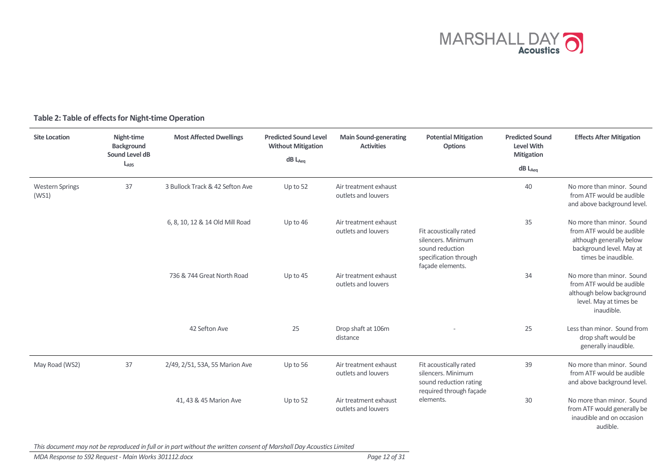

#### Site Location Night-time Background Sound Level dB  $L_{A95}$ Most Affected Dwellings Predicted Sound Level Without Mitigation  $dB$   $L_{Aeq}$ Main Sound-generating **Activities** Potential Mitigation **Options** Predicted Sound Level With Mitigation dB L<sub>Aeq</sub> Effects After Mitigation Western Springs (WS1) 37 3 Bullock Track & 42 Sefton Ave Up to 52 Air treatment exhaust outlets and louvers Fit acoustically rated silencers. Minimum sound reduction specification through façade elements. 40 No more than minor. Sound from ATF would be audible and above background level. 6, 8, 10, 12 & 14 Old Mill Road Up to 46 Air treatment exhaust outlets and louvers 35 No more than minor. Sound from ATF would be audible although generally below background level. May at times be inaudible. 736 & 744 Great North Road Up to 45 Air treatment exhaust outlets and louvers 34 No more than minor. Sound from ATF would be audible although below background level. May at times be inaudible. 42 Sefton Ave 25 Drop shaft at 106m distance 25 Less than minor. Sound from drop shaft would be generally inaudible. May Road (WS2) 37 2/49, 2/51, 53A, 55 Marion Ave Up to 56 Air treatment exhaust outlets and louvers Fit acoustically rated silencers. Minimum sound reduction rating required through façade elements. 39 No more than minor. Sound from ATF would be audible and above background level. 41, 43 & 45 Marion Ave Up to 52 Air treatment exhaust outlets and louvers 30 No more than minor. Sound from ATF would generally be inaudible and on occasion audible.

### Table 2: Table of effects for Night-time Operation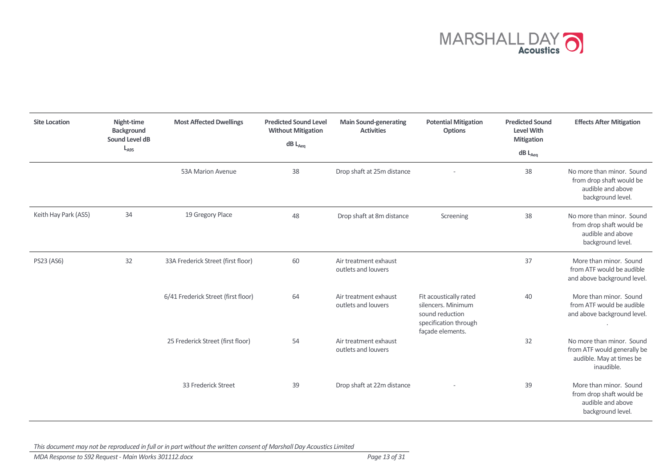

| <b>Site Location</b> | Night-time<br><b>Background</b><br>Sound Level dB<br>$L_{A95}$ | <b>Most Affected Dwellings</b>      | <b>Predicted Sound Level</b><br><b>Without Mitigation</b><br>$dB$ $L_{Aeq}$ | <b>Main Sound-generating</b><br><b>Activities</b> | <b>Potential Mitigation</b><br><b>Options</b>                                                                | <b>Predicted Sound</b><br><b>Level With</b><br><b>Mitigation</b><br>$dB$ $L_{Aeq}$ | <b>Effects After Mitigation</b>                                                                    |
|----------------------|----------------------------------------------------------------|-------------------------------------|-----------------------------------------------------------------------------|---------------------------------------------------|--------------------------------------------------------------------------------------------------------------|------------------------------------------------------------------------------------|----------------------------------------------------------------------------------------------------|
|                      |                                                                | 53A Marion Avenue                   | 38                                                                          | Drop shaft at 25m distance                        |                                                                                                              | 38                                                                                 | No more than minor. Sound<br>from drop shaft would be<br>audible and above<br>background level.    |
| Keith Hay Park (AS5) | 34                                                             | 19 Gregory Place                    | 48                                                                          | Drop shaft at 8m distance                         | Screening                                                                                                    | 38                                                                                 | No more than minor. Sound<br>from drop shaft would be<br>audible and above<br>background level.    |
| PS23 (AS6)           | 32                                                             | 33A Frederick Street (first floor)  | 60                                                                          | Air treatment exhaust<br>outlets and louvers      |                                                                                                              | 37                                                                                 | More than minor. Sound<br>from ATF would be audible<br>and above background level.                 |
|                      |                                                                | 6/41 Frederick Street (first floor) | 64                                                                          | Air treatment exhaust<br>outlets and louvers      | Fit acoustically rated<br>silencers. Minimum<br>sound reduction<br>specification through<br>façade elements. | 40                                                                                 | More than minor. Sound<br>from ATF would be audible<br>and above background level.                 |
|                      |                                                                | 25 Frederick Street (first floor)   | 54                                                                          | Air treatment exhaust<br>outlets and louvers      |                                                                                                              | 32                                                                                 | No more than minor. Sound<br>from ATF would generally be<br>audible. May at times be<br>inaudible. |
|                      |                                                                | 33 Frederick Street                 | 39                                                                          | Drop shaft at 22m distance                        |                                                                                                              | 39                                                                                 | More than minor. Sound<br>from drop shaft would be<br>audible and above<br>background level.       |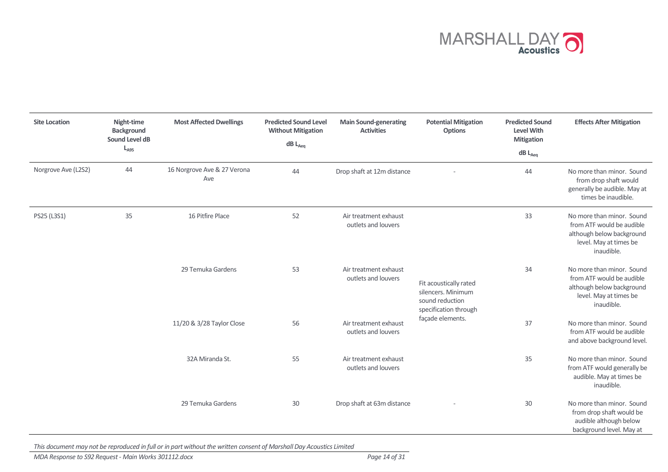

| <b>Site Location</b> | Night-time<br><b>Background</b><br>Sound Level dB<br>$L_{A95}$ | <b>Most Affected Dwellings</b>     | <b>Predicted Sound Level</b><br><b>Without Mitigation</b><br>$dB$ $L_{Aeq}$ | <b>Main Sound-generating</b><br><b>Activities</b> | <b>Potential Mitigation</b><br><b>Options</b>                                                                | <b>Predicted Sound</b><br><b>Level With</b><br><b>Mitigation</b><br>$dB$ $L_{Aeq}$ | <b>Effects After Mitigation</b>                                                                                             |
|----------------------|----------------------------------------------------------------|------------------------------------|-----------------------------------------------------------------------------|---------------------------------------------------|--------------------------------------------------------------------------------------------------------------|------------------------------------------------------------------------------------|-----------------------------------------------------------------------------------------------------------------------------|
| Norgrove Ave (L2S2)  | 44                                                             | 16 Norgrove Ave & 27 Verona<br>Ave | 44                                                                          | Drop shaft at 12m distance                        |                                                                                                              | 44                                                                                 | No more than minor. Sound<br>from drop shaft would<br>generally be audible. May at<br>times be inaudible.                   |
| PS25 (L3S1)          | 35                                                             | 16 Pitfire Place                   | 52                                                                          | Air treatment exhaust<br>outlets and louvers      |                                                                                                              | 33                                                                                 | No more than minor. Sound<br>from ATF would be audible<br>although below background<br>level. May at times be<br>inaudible. |
|                      |                                                                | 29 Temuka Gardens                  | 53                                                                          | Air treatment exhaust<br>outlets and louvers      | Fit acoustically rated<br>silencers. Minimum<br>sound reduction<br>specification through<br>façade elements. | 34                                                                                 | No more than minor. Sound<br>from ATF would be audible<br>although below background<br>level. May at times be<br>inaudible. |
|                      |                                                                | 11/20 & 3/28 Taylor Close          | 56                                                                          | Air treatment exhaust<br>outlets and louvers      |                                                                                                              | 37                                                                                 | No more than minor. Sound<br>from ATF would be audible<br>and above background level.                                       |
|                      |                                                                | 32A Miranda St.                    | 55                                                                          | Air treatment exhaust<br>outlets and louvers      |                                                                                                              | 35                                                                                 | No more than minor. Sound<br>from ATF would generally be<br>audible. May at times be<br>inaudible.                          |
|                      |                                                                | 29 Temuka Gardens                  | 30                                                                          | Drop shaft at 63m distance                        |                                                                                                              | 30                                                                                 | No more than minor. Sound<br>from drop shaft would be<br>audible although below<br>background level. May at                 |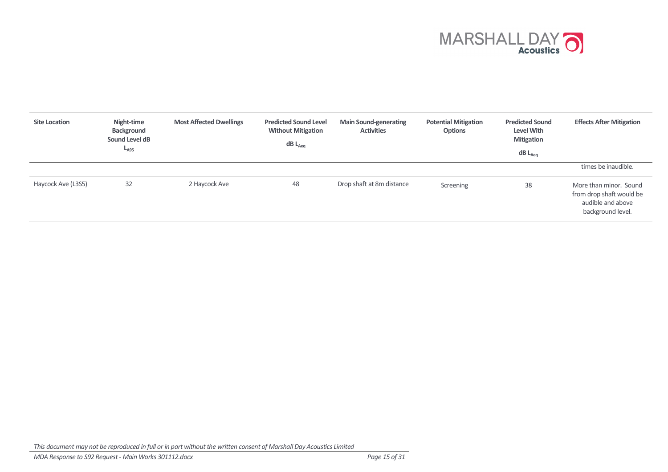

| <b>Site Location</b> | Night-time<br>Background<br>Sound Level dB<br>$L_{A95}$ | <b>Most Affected Dwellings</b> | <b>Predicted Sound Level</b><br><b>Without Mitigation</b><br>$dB$ $L_{Aeq}$ | <b>Main Sound-generating</b><br><b>Activities</b> | <b>Potential Mitigation</b><br><b>Options</b> | <b>Predicted Sound</b><br><b>Level With</b><br><b>Mitigation</b><br>$dB$ $L_{Aeq}$ | <b>Effects After Mitigation</b>                                                              |
|----------------------|---------------------------------------------------------|--------------------------------|-----------------------------------------------------------------------------|---------------------------------------------------|-----------------------------------------------|------------------------------------------------------------------------------------|----------------------------------------------------------------------------------------------|
|                      |                                                         |                                |                                                                             |                                                   |                                               |                                                                                    | times be inaudible.                                                                          |
| Haycock Ave (L3S5)   | 32                                                      | 2 Haycock Ave                  | 48                                                                          | Drop shaft at 8m distance                         | Screening                                     | 38                                                                                 | More than minor. Sound<br>from drop shaft would be<br>audible and above<br>background level. |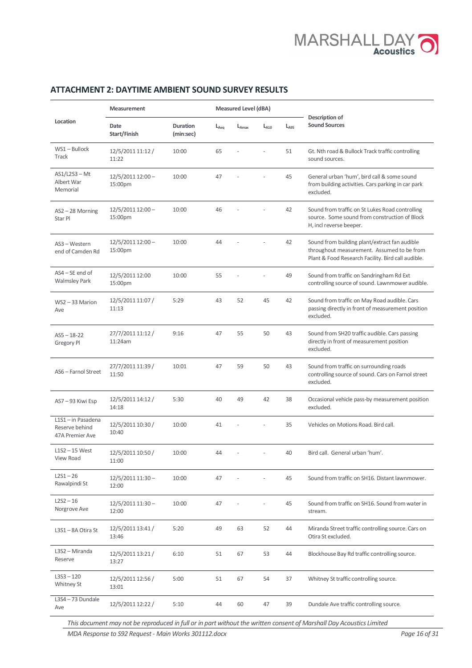

### ATTACHMENT 2: DAYTIME AMBIENT SOUND SURVEY RESULTS

|                                                         | <b>Measurement</b>           |                       |           | <b>Measured Level (dBA)</b> |           |           | Description of                                                                                                                                    |
|---------------------------------------------------------|------------------------------|-----------------------|-----------|-----------------------------|-----------|-----------|---------------------------------------------------------------------------------------------------------------------------------------------------|
| Location                                                | Date<br>Start/Finish         | Duration<br>(min:sec) | $L_{Aeq}$ | L <sub>Amax</sub>           | $L_{A10}$ | $L_{A95}$ | <b>Sound Sources</b>                                                                                                                              |
| $WS1 - Bullock$<br><b>Track</b>                         | 12/5/2011 11:12 /<br>11:22   | 10:00                 | 65        |                             |           | 51        | Gt. Nth road & Bullock Track traffic controlling<br>sound sources.                                                                                |
| $AS1/L2S3 - Mt$<br>Albert War<br>Memorial               | $12/5/201112:00-$<br>15:00pm | 10:00                 | 47        |                             |           | 45        | General urban 'hum', bird call & some sound<br>from building activities. Cars parking in car park<br>excluded.                                    |
| AS2-28 Morning<br>Star Pl                               | 12/5/2011 12:00 -<br>15:00pm | 10:00                 | 46        |                             |           | 42        | Sound from traffic on St Lukes Road controlling<br>source. Some sound from construction of Block<br>H, incl reverse beeper.                       |
| AS3 - Western<br>end of Camden Rd                       | $12/5/201112:00-$<br>15:00pm | 10:00                 | 44        |                             |           | 42        | Sound from building plant/extract fan audible<br>throughout measurement. Assumed to be from<br>Plant & Food Research Facility. Bird call audible. |
| $AS4 - SE$ end of<br><b>Walmsley Park</b>               | 12/5/2011 12:00<br>15:00pm   | 10:00                 | 55        |                             |           | 49        | Sound from traffic on Sandringham Rd Ext<br>controlling source of sound. Lawnmower audible.                                                       |
| $WS2 - 33$ Marion<br>Ave                                | 12/5/2011 11:07 /<br>11:13   | 5:29                  | 43        | 52                          | 45        | 42        | Sound from traffic on May Road audible. Cars<br>passing directly in front of measurement position<br>excluded.                                    |
| $AS5 - 18 - 22$<br>Gregory Pl                           | 27/7/2011 11:12 /<br>11:24am | 9:16                  | 47        | 55                          | 50        | 43        | Sound from SH20 traffic audible. Cars passing<br>directly in front of measurement position<br>excluded.                                           |
| AS6 - Farnol Street                                     | 27/7/2011 11:39 /<br>11:50   | 10:01                 | 47        | 59                          | 50        | 43        | Sound from traffic on surrounding roads<br>controlling source of sound. Cars on Farnol street<br>excluded.                                        |
| AS7-93 Kiwi Esp                                         | 12/5/2011 14:12 /<br>14:18   | 5:30                  | 40        | 49                          | 42        | 38        | Occasional vehicle pass-by measurement position<br>excluded.                                                                                      |
| L1S1 - in Pasadena<br>Reserve behind<br>47A Premier Ave | 12/5/2011 10:30 /<br>10:40   | 10:00                 | 41        |                             |           | 35        | Vehicles on Motions Road. Bird call.                                                                                                              |
| $L$ 152 - 15 West<br>View Road                          | 12/5/2011 10:50 /<br>11:00   | 10:00                 | 44        |                             |           | 40        | Bird call. General urban 'hum'.                                                                                                                   |
| $L2S1 - 26$<br>Rawalpindi St                            | 12/5/2011 11:30 -<br>12:00   | 10:00                 | 47        |                             |           | 45        | Sound from traffic on SH16. Distant lawnmower.                                                                                                    |
| $L2S2 - 16$<br>Norgrove Ave                             | 12/5/2011 11:30-<br>12:00    | 10:00                 | 47        |                             |           | 45        | Sound from traffic on SH16. Sound from water in<br>stream.                                                                                        |
| L3S1 - 8A Otira St                                      | 12/5/2011 13:41 /<br>13:46   | 5:20                  | 49        | 63                          | 52        | 44        | Miranda Street traffic controlling source. Cars on<br>Otira St excluded.                                                                          |
| L3S2 - Miranda<br>Reserve                               | 12/5/2011 13:21 /<br>13:27   | 6:10                  | 51        | 67                          | 53        | 44        | Blockhouse Bay Rd traffic controlling source.                                                                                                     |
| $LSS3 - 120$<br>Whitney St                              | 12/5/2011 12:56 /<br>13:01   | 5:00                  | 51        | 67                          | 54        | 37        | Whitney St traffic controlling source.                                                                                                            |
| $LSS4 - 73$ Dundale<br>Ave                              | 12/5/2011 12:22 /            | 5:10                  | 44        | 60                          | 47        | 39        | Dundale Ave traffic controlling source.                                                                                                           |

This document may not be reproduced in full or in part without the written consent of Marshall Day Acoustics Limited

MDA Response to S92 Request - Main Works 301112.docx Page 16 of 31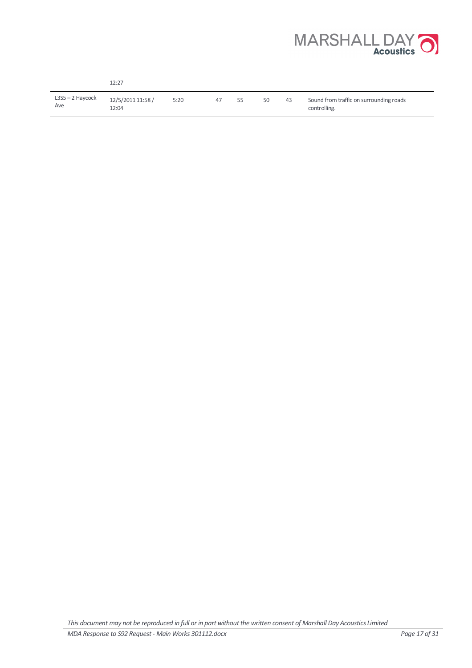

|                         | 12:27                      |      |    |    |    |    |                                                         |
|-------------------------|----------------------------|------|----|----|----|----|---------------------------------------------------------|
| L3S5 – 2 Haycock<br>Ave | 12/5/2011 11:58 /<br>12:04 | 5:20 | 47 | 55 | 50 | 43 | Sound from traffic on surrounding roads<br>controlling. |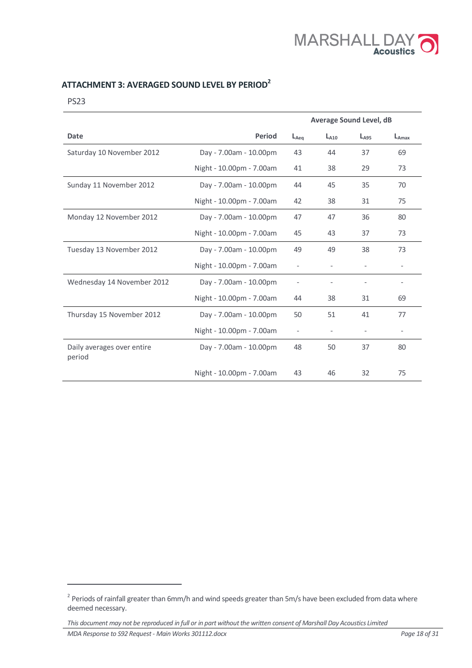

# ATTACHMENT 3: AVERAGED SOUND LEVEL BY PERIOD<sup>2</sup>

PS23

|                                      |                          | <b>Average Sound Level, dB</b> |           |                          |                   |
|--------------------------------------|--------------------------|--------------------------------|-----------|--------------------------|-------------------|
| <b>Date</b>                          | <b>Period</b>            | $L_{Aeq}$                      | $L_{A10}$ | $L_{A95}$                | $L_{Amax}$        |
| Saturday 10 November 2012            | Day - 7.00am - 10.00pm   | 43                             | 44        | 37                       | 69                |
|                                      | Night - 10.00pm - 7.00am | 41                             | 38        | 29                       | 73                |
| Sunday 11 November 2012              | Day - 7.00am - 10.00pm   | 44                             | 45        | 35                       | 70                |
|                                      | Night - 10.00pm - 7.00am | 42                             | 38        | 31                       | 75                |
| Monday 12 November 2012              | Day - 7.00am - 10.00pm   | 47                             | 47        | 36                       | 80                |
|                                      | Night - 10.00pm - 7.00am | 45                             | 43        | 37                       | 73                |
| Tuesday 13 November 2012             | Day - 7.00am - 10.00pm   | 49                             | 49        | 38                       | 73                |
|                                      | Night - 10.00pm - 7.00am | $\overline{\phantom{a}}$       |           | $\overline{\phantom{a}}$ | $\overline{a}$    |
| Wednesday 14 November 2012           | Day - 7.00am - 10.00pm   |                                |           |                          | $\qquad \qquad -$ |
|                                      | Night - 10.00pm - 7.00am | 44                             | 38        | 31                       | 69                |
| Thursday 15 November 2012            | Day - 7.00am - 10.00pm   | 50                             | 51        | 41                       | 77                |
|                                      | Night - 10.00pm - 7.00am |                                |           |                          |                   |
| Daily averages over entire<br>period | Day - 7.00am - 10.00pm   | 48                             | 50        | 37                       | 80                |
|                                      | Night - 10.00pm - 7.00am | 43                             | 46        | 32                       | 75                |

 $\overline{a}$ 

 $^2$  Periods of rainfall greater than 6mm/h and wind speeds greater than 5m/s have been excluded from data where deemed necessary.

This document may not be reproduced in full or in part without the written consent of Marshall Day Acoustics Limited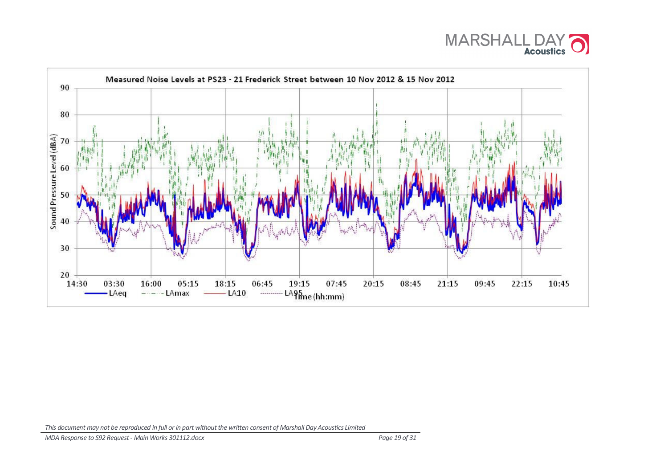

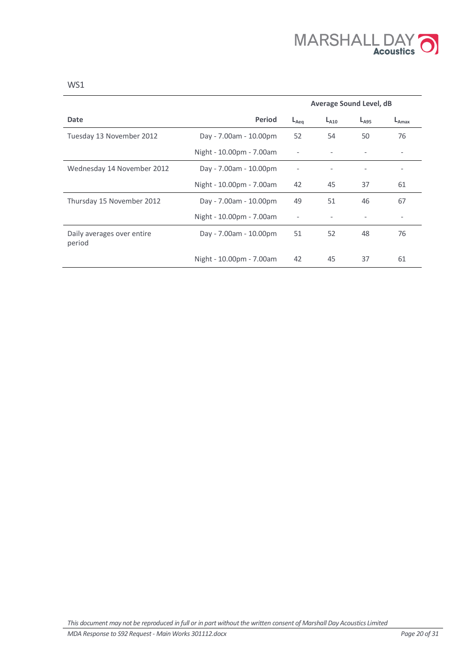

|                                      |                          | <b>Average Sound Level, dB</b> |           |           |                          |
|--------------------------------------|--------------------------|--------------------------------|-----------|-----------|--------------------------|
| Date                                 | <b>Period</b>            | $L_{Aea}$                      | $L_{A10}$ | $L_{A95}$ | $L_{\text{Amax}}$        |
| Tuesday 13 November 2012             | Day - 7.00am - 10.00pm   | 52                             | 54        | 50        | 76                       |
|                                      | Night - 10.00pm - 7.00am | $\overline{\phantom{a}}$       |           |           |                          |
| Wednesday 14 November 2012           | Day - 7.00am - 10.00pm   |                                |           |           | $\overline{\phantom{0}}$ |
|                                      | Night - 10.00pm - 7.00am | 42                             | 45        | 37        | 61                       |
| Thursday 15 November 2012            | Day - 7.00am - 10.00pm   | 49                             | 51        | 46        | 67                       |
|                                      | Night - 10.00pm - 7.00am |                                |           |           |                          |
| Daily averages over entire<br>period | Day - 7.00am - 10.00pm   | 51                             | 52        | 48        | 76                       |
|                                      | Night - 10.00pm - 7.00am | 42                             | 45        | 37        | 61                       |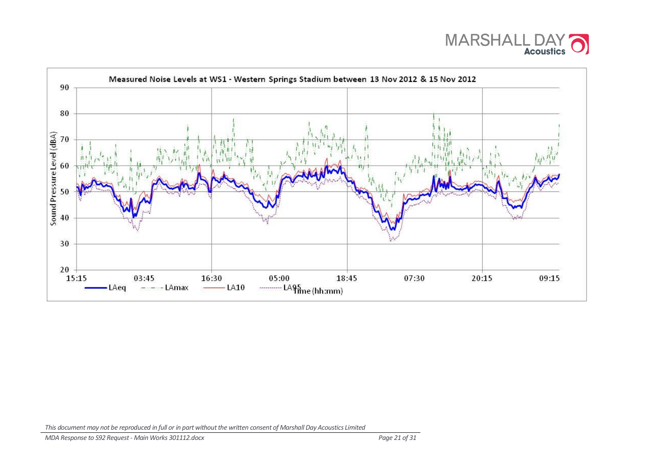

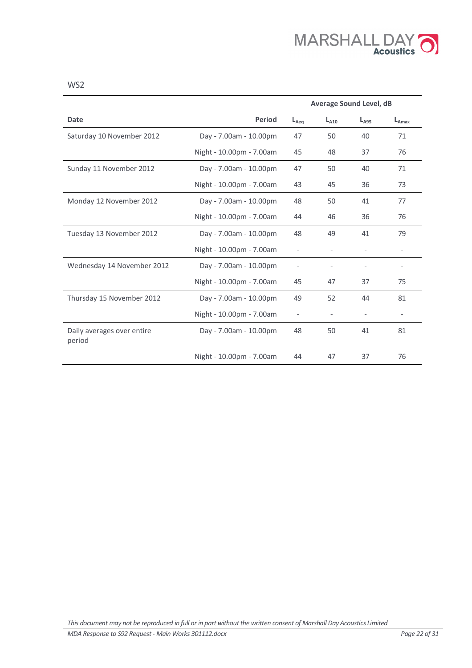

|                                      |                          | <b>Average Sound Level, dB</b> |           |                          |                          |
|--------------------------------------|--------------------------|--------------------------------|-----------|--------------------------|--------------------------|
| Date                                 | Period                   | $L_{Aeq}$                      | $L_{A10}$ | $L_{A95}$                | $L_{A max}$              |
| Saturday 10 November 2012            | Day - 7.00am - 10.00pm   | 47                             | 50        | 40                       | 71                       |
|                                      | Night - 10.00pm - 7.00am | 45                             | 48        | 37                       | 76                       |
| Sunday 11 November 2012              | Day - 7.00am - 10.00pm   | 47                             | 50        | 40                       | 71                       |
|                                      | Night - 10.00pm - 7.00am | 43                             | 45        | 36                       | 73                       |
| Monday 12 November 2012              | Day - 7.00am - 10.00pm   | 48                             | 50        | 41                       | 77                       |
|                                      | Night - 10.00pm - 7.00am | 44                             | 46        | 36                       | 76                       |
| Tuesday 13 November 2012             | Day - 7.00am - 10.00pm   | 48                             | 49        | 41                       | 79                       |
|                                      | Night - 10.00pm - 7.00am | $\overline{\phantom{a}}$       |           | $\overline{\phantom{a}}$ | $\overline{\phantom{0}}$ |
| Wednesday 14 November 2012           | Day - 7.00am - 10.00pm   |                                |           |                          |                          |
|                                      | Night - 10.00pm - 7.00am | 45                             | 47        | 37                       | 75                       |
| Thursday 15 November 2012            | Day - 7.00am - 10.00pm   | 49                             | 52        | 44                       | 81                       |
|                                      | Night - 10.00pm - 7.00am | $\qquad \qquad \blacksquare$   |           |                          |                          |
| Daily averages over entire<br>period | Day - 7.00am - 10.00pm   | 48                             | 50        | 41                       | 81                       |
|                                      | Night - 10.00pm - 7.00am | 44                             | 47        | 37                       | 76                       |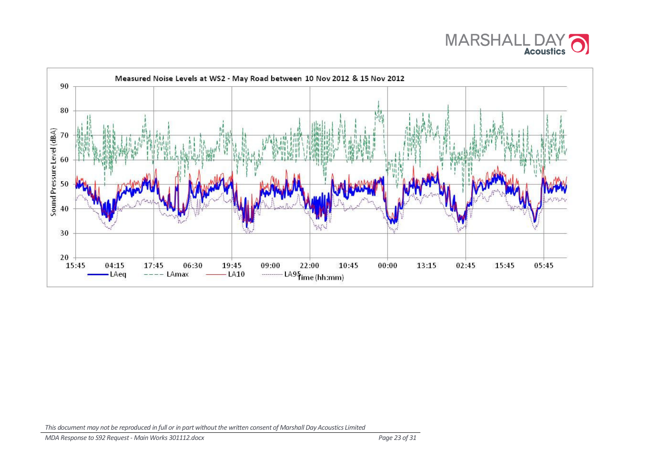

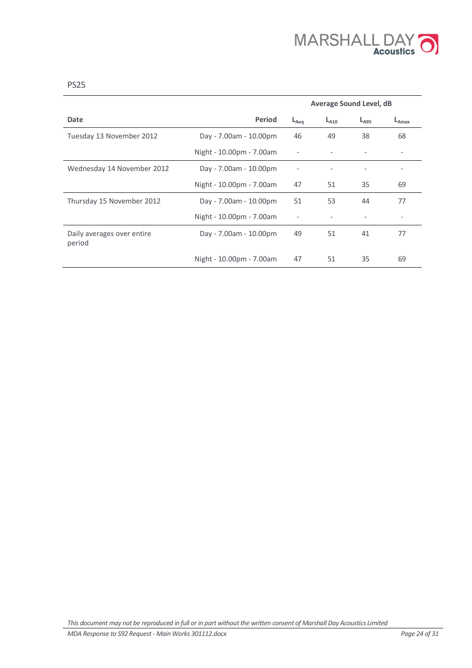

|                                      |                          | <b>Average Sound Level, dB</b> |           |           |                          |
|--------------------------------------|--------------------------|--------------------------------|-----------|-----------|--------------------------|
| Date                                 | <b>Period</b>            | $L_{Aea}$                      | $L_{A10}$ | $L_{A95}$ | $L_{\text{Amax}}$        |
| Tuesday 13 November 2012             | Day - 7.00am - 10.00pm   | 46                             | 49        | 38        | 68                       |
|                                      | Night - 10.00pm - 7.00am |                                |           |           |                          |
| Wednesday 14 November 2012           | Day - 7.00am - 10.00pm   |                                |           | -         | $\overline{\phantom{0}}$ |
|                                      | Night - 10.00pm - 7.00am | 47                             | 51        | 35        | 69                       |
| Thursday 15 November 2012            | Day - 7.00am - 10.00pm   | 51                             | 53        | 44        | 77                       |
|                                      | Night - 10.00pm - 7.00am |                                |           |           |                          |
| Daily averages over entire<br>period | Day - 7.00am - 10.00pm   | 49                             | 51        | 41        | 77                       |
|                                      | Night - 10.00pm - 7.00am | 47                             | 51        | 35        | 69                       |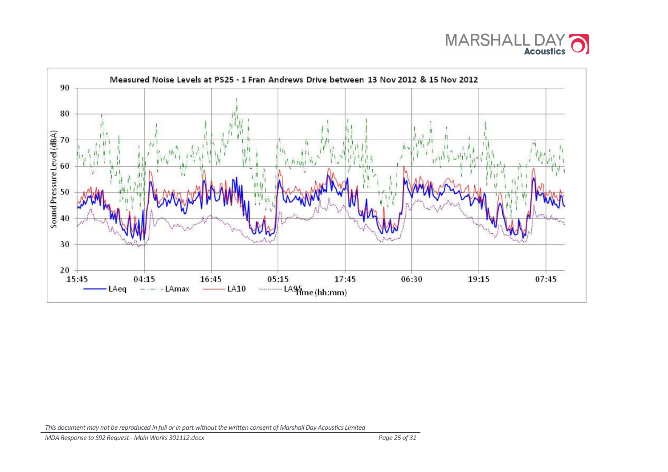

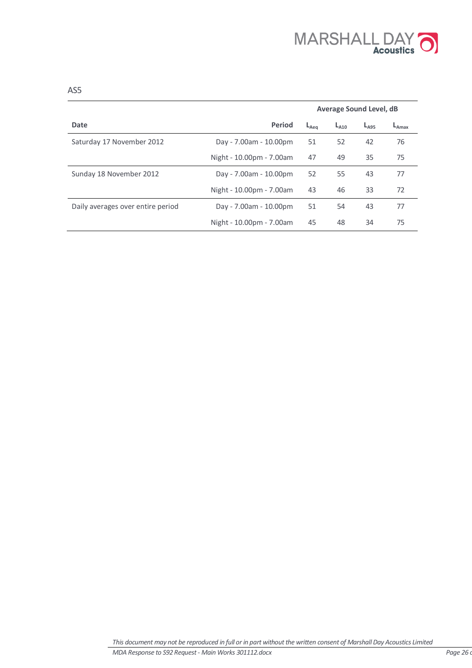

|                                   |                          | <b>Average Sound Level, dB</b> |           |           |                   |
|-----------------------------------|--------------------------|--------------------------------|-----------|-----------|-------------------|
| Date                              | <b>Period</b>            | $L_{Aea}$                      | $L_{A10}$ | $L_{A95}$ | $L_{\text{Amax}}$ |
| Saturday 17 November 2012         | Day - 7.00am - 10.00pm   | 51                             | 52        | 42        | 76                |
|                                   | Night - 10.00pm - 7.00am | 47                             | 49        | 35        | 75                |
| Sunday 18 November 2012           | Day - 7.00am - 10.00pm   | 52                             | 55        | 43        | 77                |
|                                   | Night - 10.00pm - 7.00am | 43                             | 46        | 33        | 72                |
| Daily averages over entire period | Day - 7.00am - 10.00pm   | 51                             | 54        | 43        | 77                |
|                                   | Night - 10.00pm - 7.00am | 45                             | 48        | 34        | 75                |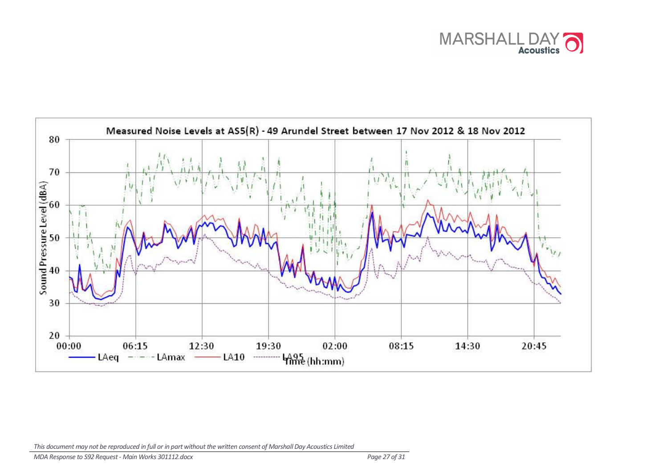

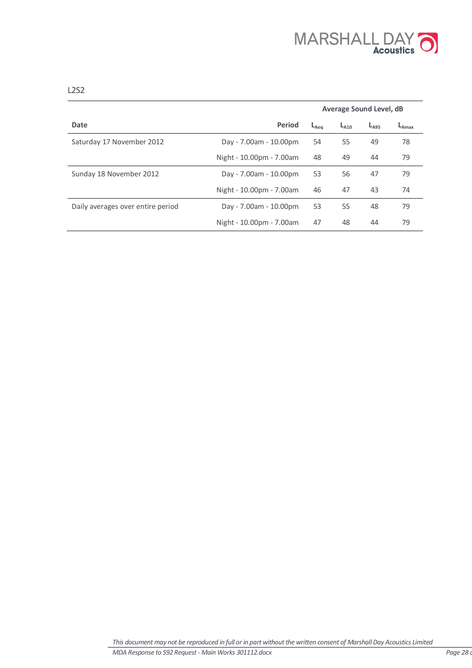

|                                   |                          | <b>Average Sound Level, dB</b> |           |           |            |
|-----------------------------------|--------------------------|--------------------------------|-----------|-----------|------------|
| Date                              | Period                   | $L_{Aea}$                      | $L_{A10}$ | $L_{A95}$ | $L_{Amax}$ |
| Saturday 17 November 2012         | Day - 7.00am - 10.00pm   | 54                             | 55        | 49        | 78         |
|                                   | Night - 10.00pm - 7.00am | 48                             | 49        | 44        | 79         |
| Sunday 18 November 2012           | Day - 7.00am - 10.00pm   | 53                             | 56        | 47        | 79         |
|                                   | Night - 10.00pm - 7.00am | 46                             | 47        | 43        | 74         |
| Daily averages over entire period | Day - 7.00am - 10.00pm   | 53                             | 55        | 48        | 79         |
|                                   | Night - 10.00pm - 7.00am | 47                             | 48        | 44        | 79         |

L2S2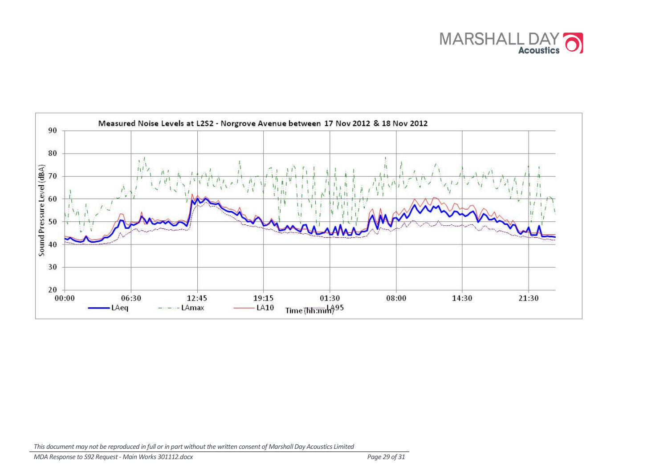

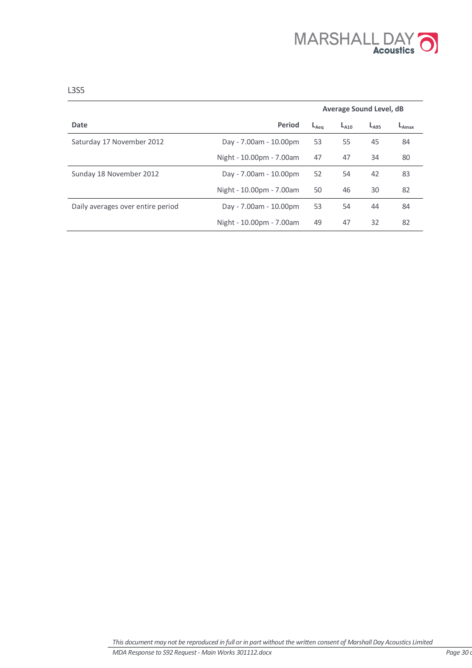

|                                   |                          | <b>Average Sound Level, dB</b> |           |           |            |
|-----------------------------------|--------------------------|--------------------------------|-----------|-----------|------------|
| Date                              | Period                   | $L_{Aea}$                      | $L_{A10}$ | $L_{A95}$ | $L_{Amax}$ |
| Saturday 17 November 2012         | Day - 7.00am - 10.00pm   | 53                             | 55        | 45        | 84         |
|                                   | Night - 10.00pm - 7.00am | 47                             | 47        | 34        | 80         |
| Sunday 18 November 2012           | Day - 7.00am - 10.00pm   | 52                             | 54        | 42        | 83         |
|                                   | Night - 10.00pm - 7.00am | 50                             | 46        | 30        | 82         |
| Daily averages over entire period | Day - 7.00am - 10.00pm   | 53                             | 54        | 44        | 84         |
|                                   | Night - 10.00pm - 7.00am | 49                             | 47        | 32        | 82         |

L3S5